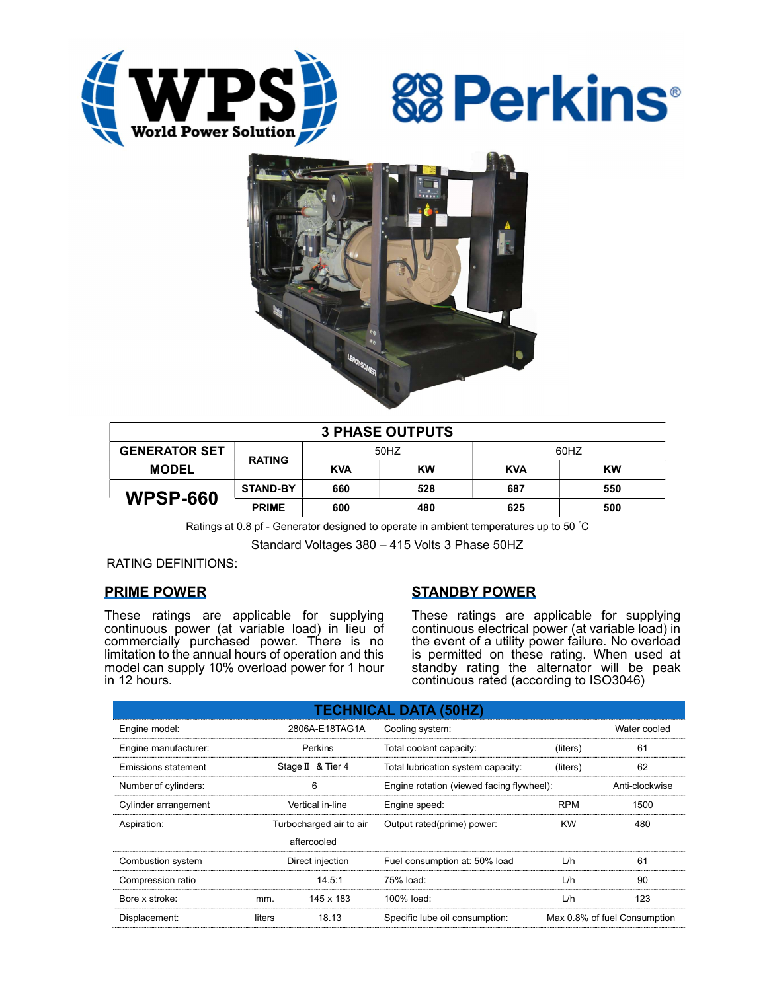





| <b>3 PHASE OUTPUTS</b> |                 |            |     |            |           |  |  |  |
|------------------------|-----------------|------------|-----|------------|-----------|--|--|--|
| <b>GENERATOR SET</b>   | <b>RATING</b>   | 50HZ       |     | 60HZ       |           |  |  |  |
| <b>MODEL</b>           |                 | <b>KVA</b> | KW  | <b>KVA</b> | <b>KW</b> |  |  |  |
| <b>WPSP-660</b>        | <b>STAND-BY</b> | 660        | 528 | 687        | 550       |  |  |  |
|                        | <b>PRIME</b>    | 600        | 480 | 625        | 500       |  |  |  |

Ratings at 0.8 pf - Generator designed to operate in ambient temperatures up to 50 °C

Standard Voltages 380 – 415 Volts 3 Phase 50HZ

RATING DEFINITIONS:

## PRIME POWER

These ratings are applicable for supplying continuous power (at variable load) in lieu of commercially purchased power. There is no limitation to the annual hours of operation and this model can supply 10% overload power for 1 hour in 12 hours.

# STANDBY POWER

These ratings are applicable for supplying continuous electrical power (at variable load) in the event of a utility power failure. No overload is permitted on these rating. When used at standby rating the alternator will be peak continuous rated (according to ISO3046)

| <b>TECHNICAL DATA (50HZ)</b> |                         |                   |                                           |                              |                |  |  |  |
|------------------------------|-------------------------|-------------------|-------------------------------------------|------------------------------|----------------|--|--|--|
| Engine model:                | 2806A-E18TAG1A          |                   | Cooling system:                           | Water cooled                 |                |  |  |  |
| Engine manufacturer:         | Perkins                 |                   | Total coolant capacity:                   | (liters)                     | 61             |  |  |  |
| <b>Emissions statement</b>   |                         | Stage II & Tier 4 | Total lubrication system capacity:        | (liters)                     | 62             |  |  |  |
| Number of cylinders:         | 6                       |                   | Engine rotation (viewed facing flywheel): |                              | Anti-clockwise |  |  |  |
| Cylinder arrangement         | Vertical in-line        |                   | Engine speed:                             | <b>RPM</b>                   | 1500           |  |  |  |
| Aspiration:                  | Turbocharged air to air |                   | Output rated(prime) power:                | <b>KW</b>                    | 480            |  |  |  |
|                              | aftercooled             |                   |                                           |                              |                |  |  |  |
| Combustion system            | Direct injection        |                   | Fuel consumption at: 50% load             | L/h                          | 61             |  |  |  |
| Compression ratio            |                         | 14.5:1            | 75% load:                                 | L/h                          | 90             |  |  |  |
| Bore x stroke:               | mm.                     | 145 x 183         | 100% load:                                | L/h                          | 123            |  |  |  |
| Displacement:                | liters                  | 18.13             | Specific lube oil consumption:            | Max 0.8% of fuel Consumption |                |  |  |  |